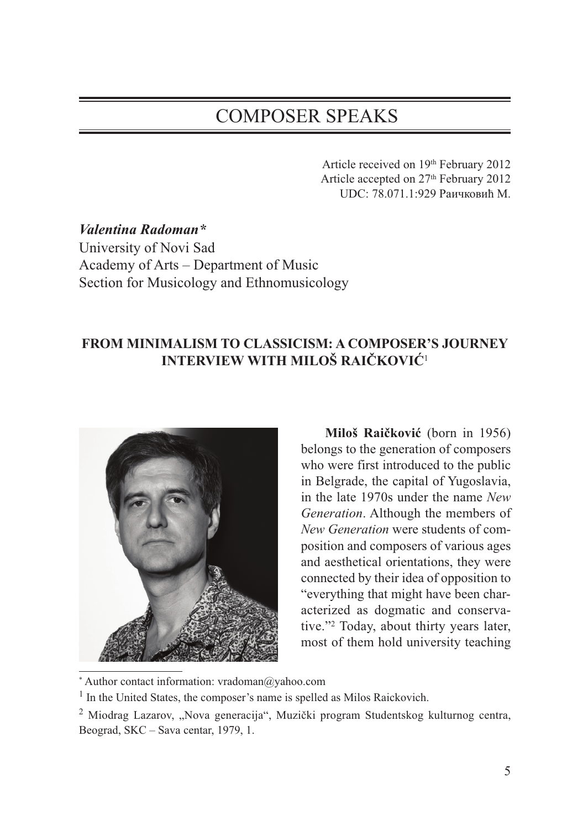# COMPOSER SPEAKS

Article received on 19th February 2012 Article accepted on 27<sup>th</sup> February 2012 UDC: 78.071.1:929 Раичковић М.

*Valentina Radoman\** University of Novi Sad Academy of Arts – Department of Music Section for Musicology and Ethnomusicology

# **FROM MINIMALISM TO CLASSICISM: A COMPOSER'S JOURNEY INTERVIEW WITH MILOŠ RAIČKOVIĆ**<sup>1</sup>



**Miloš Raičković** (born in 1956) belongs to the generation of composers who were first introduced to the public in Belgrade, the capital of Yugoslavia, in the late 1970s under the name *New Generation*. Although the members of *New Generation* were students of composition and composers of various ages and aesthetical orientations, they were connected by their idea of opposition to "everything that might have been characterized as dogmatic and conservative."2 Today, about thirty years later, most of them hold university teaching

Author contact information: vradoman@yahoo.com

<sup>&</sup>lt;sup>1</sup> In the United States, the composer's name is spelled as Milos Raickovich.

<sup>2</sup> Miodrag Lazarov, "Nova generacija", Muzički program Studentskog kulturnog centra, Beograd, SKC – Sava centar, 1979, 1.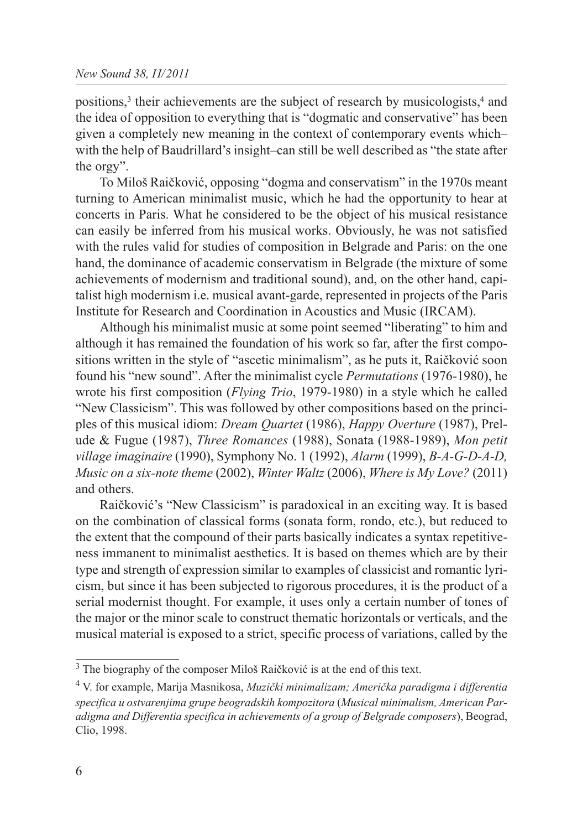positions,3 their achievements are the subject of research by musicologists,4 and the idea of opposition to everything that is "dogmatic and conservative" has been given a completely new meaning in the context of contemporary events which– with the help of Baudrillard's insight–can still be well described as "the state after the orgy".

To Miloš Raičković, opposing "dogma and conservatism" in the 1970s meant turning to American minimalist music, which he had the opportunity to hear at concerts in Paris. What he considered to be the object of his musical resistance can easily be inferred from his musical works. Obviously, he was not satisfied with the rules valid for studies of composition in Belgrade and Paris: on the one hand, the dominance of academic conservatism in Belgrade (the mixture of some achievements of modernism and traditional sound), and, on the other hand, capitalist high modernism i.e. musical avant-garde, represented in projects of the Paris Institute for Research and Coordination in Acoustics and Music (IRCAM).

Although his minimalist music at some point seemed "liberating" to him and although it has remained the foundation of his work so far, after the first compositions written in the style of "ascetic minimalism", as he puts it, Raičković soon found his "new sound". After the minimalist cycle *Permutations* (1976-1980), he wrote his first composition (*Flying Trio*, 1979-1980) in a style which he called "New Classicism". This was followed by other compositions based on the principles of this musical idiom: *Dream Quartet* (1986), *Happy Overture* (1987), Prelude & Fugue (1987), *Three Romances* (1988), Sonata (1988-1989), *Mon petit village imaginaire* (1990), Symphony No. 1 (1992), *Alarm* (1999), *B-A-G-D-A-D, Music on a six-note theme* (2002), *Winter Waltz* (2006), *Where is My Love?* (2011) and others.

Raičković's "New Classicism" is paradoxical in an exciting way. It is based on the combination of classical forms (sonata form, rondo, etc.), but reduced to the extent that the compound of their parts basically indicates a syntax repetitiveness immanent to minimalist aesthetics. It is based on themes which are by their type and strength of expression similar to examples of classicist and romantic lyricism, but since it has been subjected to rigorous procedures, it is the product of a serial modernist thought. For example, it uses only a certain number of tones of the major or the minor scale to construct thematic horizontals or verticals, and the musical material is exposed to a strict, specific process of variations, called by the

<sup>3</sup> The biography of the composer Miloš Raičković is at the end of this text.

<sup>4</sup> V. for example, Marija Masnikosa, *Muzički minimalizam; Američka paradigma i differentia specifica u ostvarenjima grupe beogradskih kompozitora* (*Musical minimalism, American Paradigma and Differentia specifica in achievements of a group of Belgrade composers*), Beograd, Clio, 1998.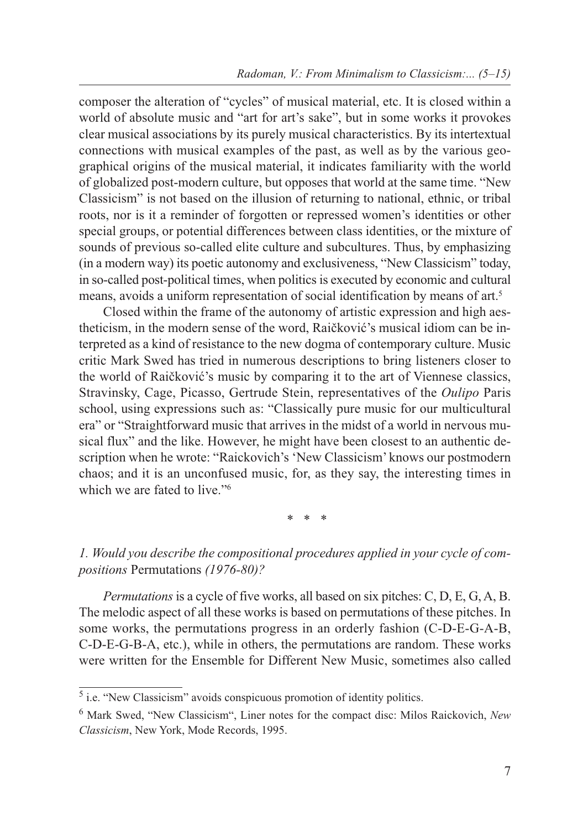composer the alteration of "cycles" of musical material, etc. It is closed within a world of absolute music and "art for art's sake", but in some works it provokes clear musical associations by its purely musical characteristics. By its intertextual connections with musical examples of the past, as well as by the various geographical origins of the musical material, it indicates familiarity with the world of globalized post-modern culture, but opposes that world at the same time. "New Classicism" is not based on the illusion of returning to national, ethnic, or tribal roots, nor is it a reminder of forgotten or repressed women's identities or other special groups, or potential differences between class identities, or the mixture of sounds of previous so-called elite culture and subcultures. Thus, by emphasizing (in a modern way) its poetic autonomy and exclusiveness, "New Classicism" today, in so-called post-political times, when politics is executed by economic and cultural means, avoids a uniform representation of social identification by means of art.5

Closed within the frame of the autonomy of artistic expression and high aestheticism, in the modern sense of the word, Raičković's musical idiom can be interpreted as a kind of resistance to the new dogma of contemporary culture. Music critic Mark Swed has tried in numerous descriptions to bring listeners closer to the world of Raičković's music by comparing it to the art of Viennese classics, Stravinsky, Cage, Picasso, Gertrude Stein, representatives of the *Oulipo* Paris school, using expressions such as: "Classically pure music for our multicultural era" or "Straightforward music that arrives in the midst of a world in nervous musical flux" and the like. However, he might have been closest to an authentic description when he wrote: "Raickovich's 'New Classicism' knows our postmodern chaos; and it is an unconfused music, for, as they say, the interesting times in which we are fated to live."<sup>6</sup>

\* \* \*

## *1. Would you describe the compositional procedures applied in your cycle of compositions* Permutations *(1976-80)?*

*Permutations* is a cycle of five works, all based on six pitches: C, D, E, G, A, B. The melodic aspect of all these works is based on permutations of these pitches. In some works, the permutations progress in an orderly fashion (C-D-E-G-A-B, C-D-E-G-B-A, etc.), while in others, the permutations are random. These works were written for the Ensemble for Different New Music, sometimes also called

<sup>5</sup> i.e. "New Classicism" avoids conspicuous promotion of identity politics.

<sup>6</sup> Mark Swed, "New Classicism", Liner notes for the compact disc: Milos Raickovich, *New Classicism*, New York, Mode Records, 1995.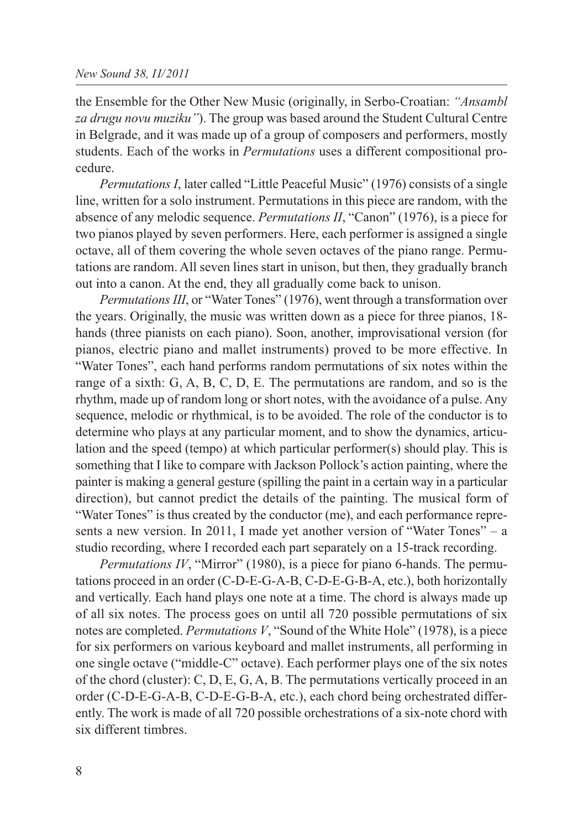the Ensemble for the Other New Music (originally, in Serbo-Croatian: *"Ansambl za drugu novu muziku"*). The group was based around the Student Cultural Centre in Belgrade, and it was made up of a group of composers and performers, mostly students. Each of the works in *Permutations* uses a different compositional procedure.

*Permutations I*, later called "Little Peaceful Music" (1976) consists of a single line, written for a solo instrument. Permutations in this piece are random, with the absence of any melodic sequence. *Permutations II*, "Canon" (1976), is a piece for two pianos played by seven performers. Here, each performer is assigned a single octave, all of them covering the whole seven octaves of the piano range. Permutations are random. All seven lines start in unison, but then, they gradually branch out into a canon. At the end, they all gradually come back to unison.

*Permutations III*, or "Water Tones" (1976), went through a transformation over the years. Originally, the music was written down as a piece for three pianos, 18 hands (three pianists on each piano). Soon, another, improvisational version (for pianos, electric piano and mallet instruments) proved to be more effective. In "Water Tones", each hand performs random permutations of six notes within the range of a sixth: G, A, B, C, D, E. The permutations are random, and so is the rhythm, made up of random long or short notes, with the avoidance of a pulse. Any sequence, melodic or rhythmical, is to be avoided. The role of the conductor is to determine who plays at any particular moment, and to show the dynamics, articulation and the speed (tempo) at which particular performer(s) should play. This is something that I like to compare with Jackson Pollock's action painting, where the painter is making a general gesture (spilling the paint in a certain way in a particular direction), but cannot predict the details of the painting. The musical form of "Water Tones" is thus created by the conductor (me), and each performance represents a new version. In 2011, I made yet another version of "Water Tones" – a studio recording, where I recorded each part separately on a 15-track recording.

*Permutations IV*, "Mirror" (1980), is a piece for piano 6-hands. The permutations proceed in an order (C-D-E-G-A-B, C-D-E-G-B-A, etc.), both horizontally and vertically. Each hand plays one note at a time. The chord is always made up of all six notes. The process goes on until all 720 possible permutations of six notes are completed. *Permutations V*, "Sound of the White Hole" (1978), is a piece for six performers on various keyboard and mallet instruments, all performing in one single octave ("middle-C" octave). Each performer plays one of the six notes of the chord (cluster): C, D, E, G, A, B. The permutations vertically proceed in an order (C-D-E-G-A-B, C-D-E-G-B-A, etc.), each chord being orchestrated differently. The work is made of all 720 possible orchestrations of a six-note chord with six different timbres.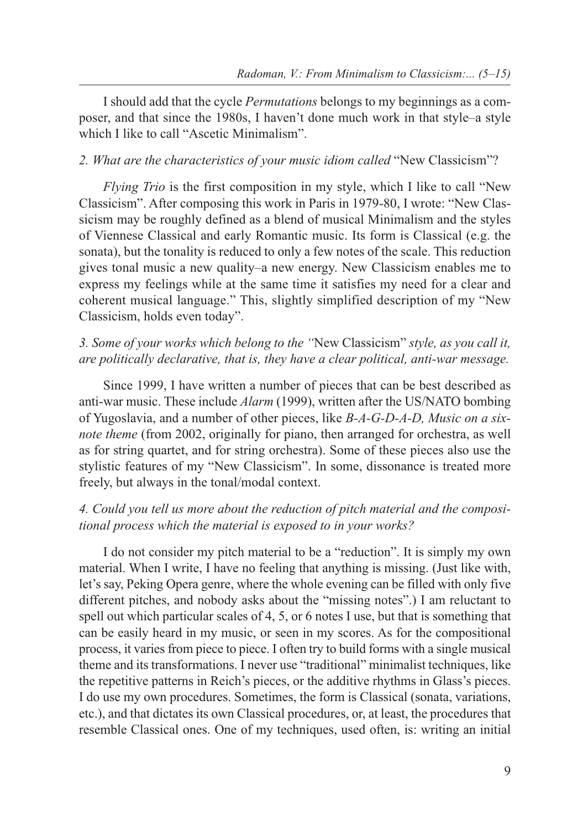I should add that the cycle *Permutations* belongs to my beginnings as a composer, and that since the 1980s, I haven't done much work in that style–a style which I like to call "Ascetic Minimalism".

## *2. What are the characteristics of your music idiom called* "New Classicism"?

*Flying Trio* is the first composition in my style, which I like to call "New Classicism". After composing this work in Paris in 1979-80, I wrote: "New Classicism may be roughly defined as a blend of musical Minimalism and the styles of Viennese Classical and early Romantic music. Its form is Classical (e.g. the sonata), but the tonality is reduced to only a few notes of the scale. This reduction gives tonal music a new quality–a new energy. New Classicism enables me to express my feelings while at the same time it satisfies my need for a clear and coherent musical language." This, slightly simplified description of my "New Classicism, holds even today".

# *3. Some of your works which belong to the "*New Classicism" *style, as you call it, are politically declarative, that is, they have a clear political, anti-war message.*

Since 1999, I have written a number of pieces that can be best described as anti-war music. These include *Alarm* (1999), written after the US/NATO bombing of Yugoslavia, and a number of other pieces, like *B-A-G-D-A-D, Music on a sixnote theme* (from 2002, originally for piano, then arranged for orchestra, as well as for string quartet, and for string orchestra). Some of these pieces also use the stylistic features of my "New Classicism". In some, dissonance is treated more freely, but always in the tonal/modal context.

# *4. Could you tell us more about the reduction of pitch material and the compositional process which the material is exposed to in your works?*

I do not consider my pitch material to be a "reduction". It is simply my own material. When I write, I have no feeling that anything is missing. (Just like with, let's say, Peking Opera genre, where the whole evening can be filled with only five different pitches, and nobody asks about the "missing notes".) I am reluctant to spell out which particular scales of 4, 5, or 6 notes I use, but that is something that can be easily heard in my music, or seen in my scores. As for the compositional process, it varies from piece to piece. I often try to build forms with a single musical theme and its transformations. I never use "traditional" minimalist techniques, like the repetitive patterns in Reich's pieces, or the additive rhythms in Glass's pieces. I do use my own procedures. Sometimes, the form is Classical (sonata, variations, etc.), and that dictates its own Classical procedures, or, at least, the procedures that resemble Classical ones. One of my techniques, used often, is: writing an initial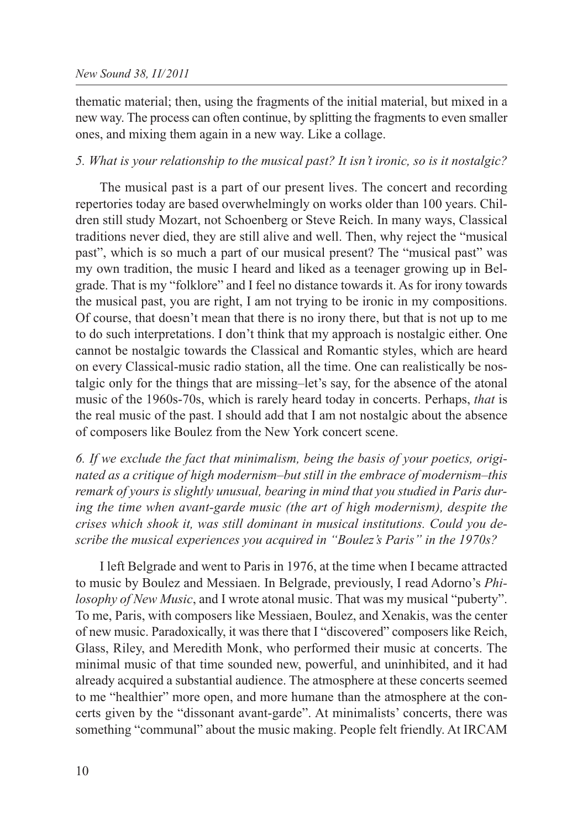thematic material; then, using the fragments of the initial material, but mixed in a new way. The process can often continue, by splitting the fragments to even smaller ones, and mixing them again in a new way. Like a collage.

## *5. What is your relationship to the musical past? It isn't ironic, so is it nostalgic?*

The musical past is a part of our present lives. The concert and recording repertories today are based overwhelmingly on works older than 100 years. Children still study Mozart, not Schoenberg or Steve Reich. In many ways, Classical traditions never died, they are still alive and well. Then, why reject the "musical past", which is so much a part of our musical present? The "musical past" was my own tradition, the music I heard and liked as a teenager growing up in Belgrade. That is my "folklore" and I feel no distance towards it. As for irony towards the musical past, you are right, I am not trying to be ironic in my compositions. Of course, that doesn't mean that there is no irony there, but that is not up to me to do such interpretations. I don't think that my approach is nostalgic either. One cannot be nostalgic towards the Classical and Romantic styles, which are heard on every Classical-music radio station, all the time. One can realistically be nostalgic only for the things that are missing–let's say, for the absence of the atonal music of the 1960s-70s, which is rarely heard today in concerts. Perhaps, *that* is the real music of the past. I should add that I am not nostalgic about the absence of composers like Boulez from the New York concert scene.

*6. If we exclude the fact that minimalism, being the basis of your poetics, originated as a critique of high modernism–but still in the embrace of modernism–this remark of yours is slightly unusual, bearing in mind that you studied in Paris during the time when avant-garde music (the art of high modernism), despite the crises which shook it, was still dominant in musical institutions. Could you describe the musical experiences you acquired in "Boulez's Paris" in the 1970s?*

I left Belgrade and went to Paris in 1976, at the time when I became attracted to music by Boulez and Messiaen. In Belgrade, previously, I read Adorno's *Philosophy of New Music*, and I wrote atonal music. That was my musical "puberty". To me, Paris, with composers like Messiaen, Boulez, and Xenakis, was the center of new music. Paradoxically, it was there that I "discovered" composers like Reich, Glass, Riley, and Meredith Monk, who performed their music at concerts. The minimal music of that time sounded new, powerful, and uninhibited, and it had already acquired a substantial audience. The atmosphere at these concerts seemed to me "healthier" more open, and more humane than the atmosphere at the concerts given by the "dissonant avant-garde". At minimalists' concerts, there was something "communal" about the music making. People felt friendly. At IRCAM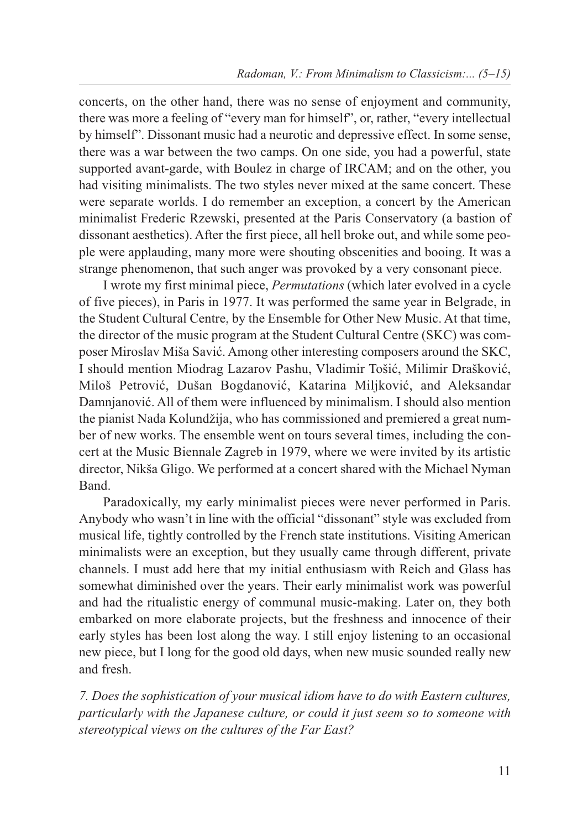concerts, on the other hand, there was no sense of enjoyment and community, there was more a feeling of "every man for himself", or, rather, "every intellectual by himself". Dissonant music had a neurotic and depressive effect. In some sense, there was a war between the two camps. On one side, you had a powerful, state supported avant-garde, with Boulez in charge of IRCAM; and on the other, you had visiting minimalists. The two styles never mixed at the same concert. These were separate worlds. I do remember an exception, a concert by the American minimalist Frederic Rzewski, presented at the Paris Conservatory (a bastion of dissonant aesthetics). After the first piece, all hell broke out, and while some people were applauding, many more were shouting obscenities and booing. It was a strange phenomenon, that such anger was provoked by a very consonant piece.

I wrote my first minimal piece, *Permutations* (which later evolved in a cycle of five pieces), in Paris in 1977. It was performed the same year in Belgrade, in the Student Cultural Centre, by the Ensemble for Other New Music. At that time, the director of the music program at the Student Cultural Centre (SKC) was composer Miroslav Miša Savić. Among other interesting composers around the SKC, I should mention Miodrag Lazarov Pashu, Vladimir Tošić, Milimir Drašković, Miloš Petrović, Dušan Bogdanović, Katarina Miljković, and Aleksandar Damnjanović. All of them were influenced by minimalism. I should also mention the pianist Nada Kolundžija, who has commissioned and premiered a great number of new works. The ensemble went on tours several times, including the concert at the Music Biennale Zagreb in 1979, where we were invited by its artistic director, Nikša Gligo. We performed at a concert shared with the Michael Nyman Band.

Paradoxically, my early minimalist pieces were never performed in Paris. Anybody who wasn't in line with the official "dissonant" style was excluded from musical life, tightly controlled by the French state institutions. Visiting American minimalists were an exception, but they usually came through different, private channels. I must add here that my initial enthusiasm with Reich and Glass has somewhat diminished over the years. Their early minimalist work was powerful and had the ritualistic energy of communal music-making. Later on, they both embarked on more elaborate projects, but the freshness and innocence of their early styles has been lost along the way. I still enjoy listening to an occasional new piece, but I long for the good old days, when new music sounded really new and fresh.

*7. Does the sophistication of your musical idiom have to do with Eastern cultures, particularly with the Japanese culture, or could it just seem so to someone with stereotypical views on the cultures of the Far East?*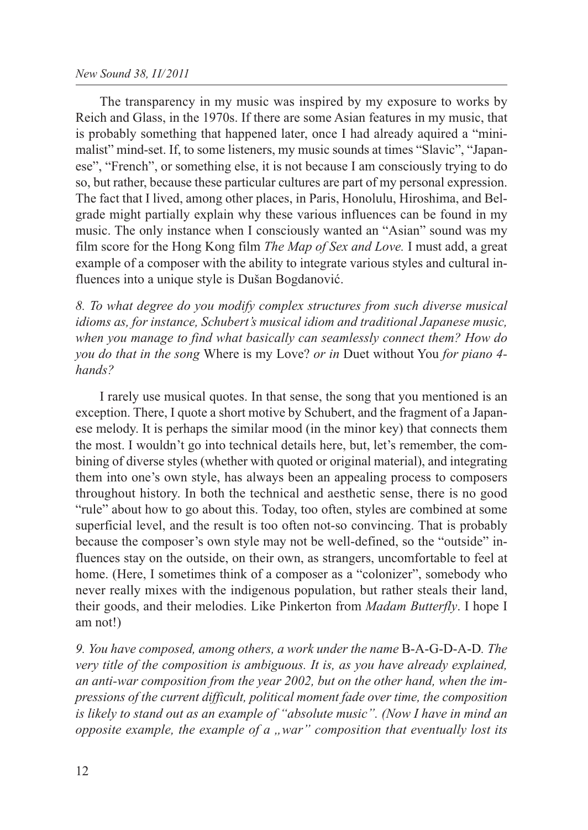#### *New Sound 38, II/2011*

The transparency in my music was inspired by my exposure to works by Reich and Glass, in the 1970s. If there are some Asian features in my music, that is probably something that happened later, once I had already aquired a "minimalist" mind-set. If, to some listeners, my music sounds at times "Slavic", "Japanese", "French", or something else, it is not because I am consciously trying to do so, but rather, because these particular cultures are part of my personal expression. The fact that I lived, among other places, in Paris, Honolulu, Hiroshima, and Belgrade might partially explain why these various influences can be found in my music. The only instance when I consciously wanted an "Asian" sound was my film score for the Hong Kong film *The Map of Sex and Love.* I must add, a great example of a composer with the ability to integrate various styles and cultural influences into a unique style is Dušan Bogdanović.

*8. To what degree do you modify complex structures from such diverse musical idioms as, for instance, Schubert's musical idiom and traditional Japanese music, when you manage to find what basically can seamlessly connect them? How do you do that in the song* Where is my Love? *or in* Duet without You *for piano 4 hands?*

I rarely use musical quotes. In that sense, the song that you mentioned is an exception. There, I quote a short motive by Schubert, and the fragment of a Japanese melody. It is perhaps the similar mood (in the minor key) that connects them the most. I wouldn't go into technical details here, but, let's remember, the combining of diverse styles (whether with quoted or original material), and integrating them into one's own style, has always been an appealing process to composers throughout history. In both the technical and aesthetic sense, there is no good "rule" about how to go about this. Today, too often, styles are combined at some superficial level, and the result is too often not-so convincing. That is probably because the composer's own style may not be well-defined, so the "outside" influences stay on the outside, on their own, as strangers, uncomfortable to feel at home. (Here, I sometimes think of a composer as a "colonizer", somebody who never really mixes with the indigenous population, but rather steals their land, their goods, and their melodies. Like Pinkerton from *Madam Butterfly*. I hope I am not!)

*9. You have composed, among others, a work under the name* B-A-G-D-A-D*. The very title of the composition is ambiguous. It is, as you have already explained, an anti-war composition from the year 2002, but on the other hand, when the impressions of the current difficult, political moment fade over time, the composition is likely to stand out as an example of "absolute music". (Now I have in mind an opposite example, the example of a "war" composition that eventually lost its*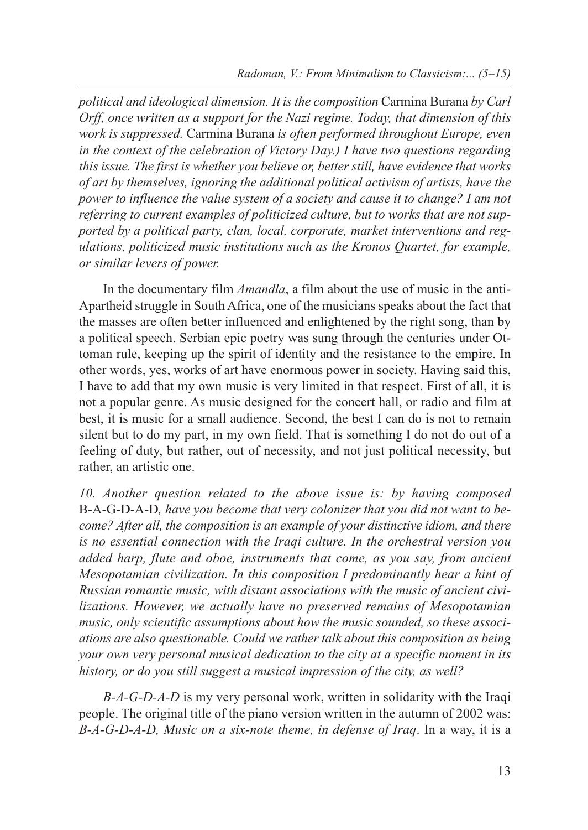*political and ideological dimension. It is the composition* Carmina Burana *by Carl Orff, once written as a support for the Nazi regime. Today, that dimension of this work is suppressed.* Carmina Burana *is often performed throughout Europe, even in the context of the celebration of Victory Day.) I have two questions regarding this issue. The first is whether you believe or, better still, have evidence that works of art by themselves, ignoring the additional political activism of artists, have the power to influence the value system of a society and cause it to change? I am not referring to current examples of politicized culture, but to works that are not supported by a political party, clan, local, corporate, market interventions and regulations, politicized music institutions such as the Kronos Quartet, for example, or similar levers of power.*

In the documentary film *Amandla*, a film about the use of music in the anti-Apartheid struggle in South Africa, one of the musicians speaks about the fact that the masses are often better influenced and enlightened by the right song, than by a political speech. Serbian epic poetry was sung through the centuries under Ottoman rule, keeping up the spirit of identity and the resistance to the empire. In other words, yes, works of art have enormous power in society. Having said this, I have to add that my own music is very limited in that respect. First of all, it is not a popular genre. As music designed for the concert hall, or radio and film at best, it is music for a small audience. Second, the best I can do is not to remain silent but to do my part, in my own field. That is something I do not do out of a feeling of duty, but rather, out of necessity, and not just political necessity, but rather, an artistic one.

*10. Another question related to the above issue is: by having composed* B-A-G-D-A-D*, have you become that very colonizer that you did not want to become? After all, the composition is an example of your distinctive idiom, and there is no essential connection with the Iraqi culture. In the orchestral version you added harp, flute and oboe, instruments that come, as you say, from ancient Mesopotamian civilization. In this composition I predominantly hear a hint of Russian romantic music, with distant associations with the music of ancient civilizations. However, we actually have no preserved remains of Mesopotamian music, only scientific assumptions about how the music sounded, so these associations are also questionable. Could we rather talk about this composition as being your own very personal musical dedication to the city at a specific moment in its history, or do you still suggest a musical impression of the city, as well?* 

*B-A-G-D-A-D* is my very personal work, written in solidarity with the Iraqi people. The original title of the piano version written in the autumn of 2002 was: *B-A-G-D-A-D, Music on a six-note theme, in defense of Iraq*. In a way, it is a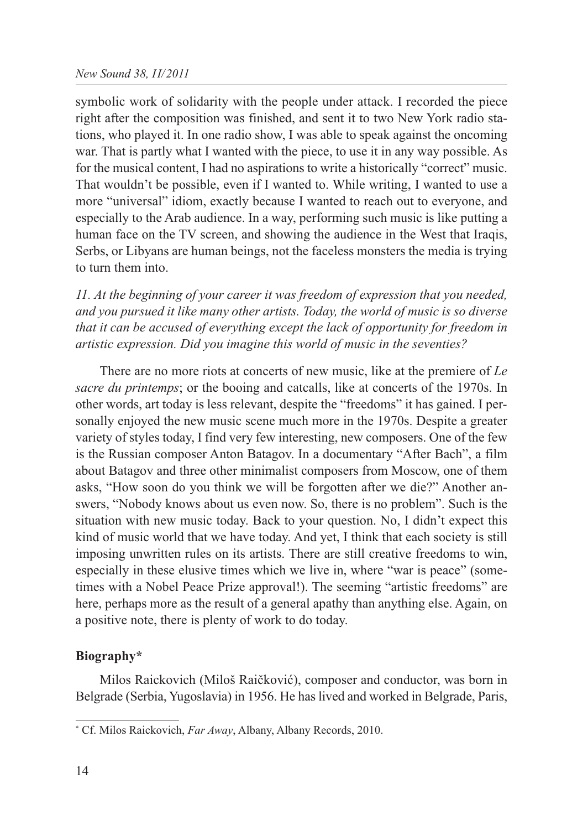## *New Sound 38, II/2011*

symbolic work of solidarity with the people under attack. I recorded the piece right after the composition was finished, and sent it to two New York radio stations, who played it. In one radio show, I was able to speak against the oncoming war. That is partly what I wanted with the piece, to use it in any way possible. As for the musical content, I had no aspirations to write a historically "correct" music. That wouldn't be possible, even if I wanted to. While writing, I wanted to use a more "universal" idiom, exactly because I wanted to reach out to everyone, and especially to the Arab audience. In a way, performing such music is like putting a human face on the TV screen, and showing the audience in the West that Iraqis, Serbs, or Libyans are human beings, not the faceless monsters the media is trying to turn them into.

*11. At the beginning of your career it was freedom of expression that you needed, and you pursued it like many other artists. Today, the world of music is so diverse that it can be accused of everything except the lack of opportunity for freedom in artistic expression. Did you imagine this world of music in the seventies?*

There are no more riots at concerts of new music, like at the premiere of *Le sacre du printemps*; or the booing and catcalls, like at concerts of the 1970s. In other words, art today is less relevant, despite the "freedoms" it has gained. I personally enjoyed the new music scene much more in the 1970s. Despite a greater variety of styles today, I find very few interesting, new composers. One of the few is the Russian composer Anton Batagov. In a documentary "After Bach", a film about Batagov and three other minimalist composers from Moscow, one of them asks, "How soon do you think we will be forgotten after we die?" Another answers, "Nobody knows about us even now. So, there is no problem". Such is the situation with new music today. Back to your question. No, I didn't expect this kind of music world that we have today. And yet, I think that each society is still imposing unwritten rules on its artists. There are still creative freedoms to win, especially in these elusive times which we live in, where "war is peace" (sometimes with a Nobel Peace Prize approval!). The seeming "artistic freedoms" are here, perhaps more as the result of a general apathy than anything else. Again, on a positive note, there is plenty of work to do today.

# **Biography\***

Milos Raickovich (Miloš Raičković), composer and conductor, was born in Belgrade (Serbia, Yugoslavia) in 1956. He has lived and worked in Belgrade, Paris,

<sup>\*</sup> Cf. Milos Raickovich, *Far Away*, Albany, Albany Records, 2010.